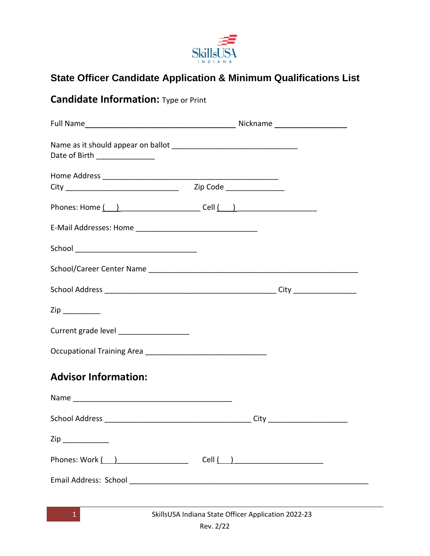

# **State Officer Candidate Application & Minimum Qualifications List**

# **Candidate Information:** Type or Print

| Date of Birth ________________          |                                                      |  |
|-----------------------------------------|------------------------------------------------------|--|
|                                         |                                                      |  |
|                                         |                                                      |  |
|                                         |                                                      |  |
|                                         |                                                      |  |
|                                         |                                                      |  |
|                                         |                                                      |  |
| $\mathsf{Zip} \_\_$                     |                                                      |  |
| Current grade level ___________________ |                                                      |  |
|                                         |                                                      |  |
| <b>Advisor Information:</b>             |                                                      |  |
|                                         |                                                      |  |
|                                         |                                                      |  |
| Zip                                     |                                                      |  |
|                                         |                                                      |  |
|                                         |                                                      |  |
|                                         |                                                      |  |
|                                         | SkillsLISA Indiana State Officer Annlication 2022-23 |  |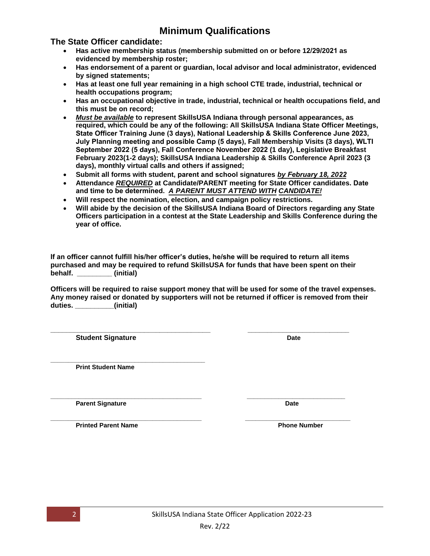### **Minimum Qualifications**

#### **The State Officer candidate:**

- **Has active membership status (membership submitted on or before 12/29/2021 as evidenced by membership roster;**
- **Has endorsement of a parent or guardian, local advisor and local administrator, evidenced by signed statements;**
- **Has at least one full year remaining in a high school CTE trade, industrial, technical or health occupations program;**
- **Has an occupational objective in trade, industrial, technical or health occupations field, and this must be on record;**
- *Must be available* **to represent SkillsUSA Indiana through personal appearances, as required, which could be any of the following: All SkillsUSA Indiana State Officer Meetings, State Officer Training June (3 days), National Leadership & Skills Conference June 2023, July Planning meeting and possible Camp (5 days), Fall Membership Visits (3 days), WLTI September 2022 (5 days), Fall Conference November 2022 (1 day), Legislative Breakfast February 2023(1-2 days); SkillsUSA Indiana Leadership & Skills Conference April 2023 (3 days), monthly virtual calls and others if assigned;**
- **Submit all forms with student, parent and school signatures** *by February 18, 2022*
- **Attendance** *REQUIRED* **at Candidate/PARENT meeting for State Officer candidates. Date and time to be determined.** *A PARENT MUST ATTEND WITH CANDIDATE!*
- **Will respect the nomination, election, and campaign policy restrictions.**
- **Will abide by the decision of the SkillsUSA Indiana Board of Directors regarding any State Officers participation in a contest at the State Leadership and Skills Conference during the year of office.**

**If an officer cannot fulfill his/her officer's duties, he/she will be required to return all items purchased and may be required to refund SkillsUSA for funds that have been spent on their behalf. \_\_\_\_\_\_\_\_\_ (initial)**

**Officers will be required to raise support money that will be used for some of the travel expenses. Any money raised or donated by supporters will not be returned if officer is removed from their duties. \_\_\_\_\_\_\_\_\_\_(initial)**

**\_\_\_\_\_\_\_\_\_\_\_\_\_\_\_\_\_\_\_\_\_\_\_\_\_\_\_\_\_\_\_\_\_\_\_\_\_\_\_\_\_ \_\_\_\_\_\_\_\_\_\_\_\_\_\_\_\_\_\_\_\_\_\_\_\_\_\_ Student Signature** Date

**\_\_\_\_\_\_\_\_\_\_\_\_\_\_\_\_\_\_\_\_\_\_\_\_\_\_\_\_\_\_\_\_\_\_\_\_\_\_\_\_\_\_\_\_ Print Student Name**

**Parent Signature Date** 

**Printed Parent Name Phone Number Phone Number** 



**\_\_\_\_\_\_\_\_\_\_\_\_\_\_\_\_\_\_\_\_\_\_\_\_\_\_\_\_\_\_\_\_\_\_\_\_\_\_\_\_\_\_\_ \_\_\_\_\_\_\_\_\_\_\_\_\_\_\_\_\_\_\_\_\_\_\_\_\_\_\_\_**

**\_\_\_\_\_\_\_\_\_\_\_\_\_\_\_\_\_\_\_\_\_\_\_\_\_\_\_\_\_\_\_\_\_\_\_\_\_\_\_\_\_\_\_ \_\_\_\_\_\_\_\_\_\_\_\_\_\_\_\_\_\_\_\_\_\_\_\_\_\_\_\_\_\_**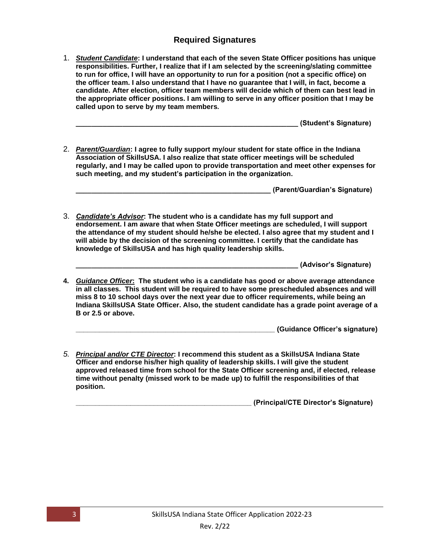### **Required Signatures**

1. *Student Candidate***: I understand that each of the seven State Officer positions has unique responsibilities. Further, I realize that if I am selected by the screening/slating committee to run for office, I will have an opportunity to run for a position (not a specific office) on the officer team. I also understand that I have no guarantee that I will, in fact, become a candidate. After election, officer team members will decide which of them can best lead in the appropriate officer positions. I am willing to serve in any officer position that I may be called upon to serve by my team members.**

**\_\_\_\_\_\_\_\_\_\_\_\_\_\_\_\_\_\_\_\_\_\_\_\_\_\_\_\_\_\_\_\_\_\_\_\_\_\_\_\_\_\_\_\_\_\_\_\_\_\_\_\_\_\_\_\_\_ (Student's Signature)**

2. *Parent/Guardian***: I agree to fully support my/our student for state office in the Indiana Association of SkillsUSA. I also realize that state officer meetings will be scheduled regularly, and I may be called upon to provide transportation and meet other expenses for such meeting, and my student's participation in the organization.**

**\_\_\_\_\_\_\_\_\_\_\_\_\_\_\_\_\_\_\_\_\_\_\_\_\_\_\_\_\_\_\_\_\_\_\_\_\_\_\_\_\_\_\_\_\_\_\_\_\_\_ (Parent/Guardian's Signature)**

3. *Candidate's Advisor***: The student who is a candidate has my full support and endorsement. I am aware that when State Officer meetings are scheduled, I will support the attendance of my student should he/she be elected. I also agree that my student and I will abide by the decision of the screening committee. I certify that the candidate has knowledge of SkillsUSA and has high quality leadership skills.**

**\_\_\_\_\_\_\_\_\_\_\_\_\_\_\_\_\_\_\_\_\_\_\_\_\_\_\_\_\_\_\_\_\_\_\_\_\_\_\_\_\_\_\_\_\_\_\_\_\_\_\_\_\_\_\_\_\_ (Advisor's Signature)**

**4.** *Guidance Officer***: The student who is a candidate has good or above average attendance in all classes. This student will be required to have some prescheduled absences and will miss 8 to 10 school days over the next year due to officer requirements, while being an Indiana SkillsUSA State Officer. Also, the student candidate has a grade point average of a B or 2.5 or above.**

**\_\_\_\_\_\_\_\_\_\_\_\_\_\_\_\_\_\_\_\_\_\_\_\_\_\_\_\_\_\_\_\_\_\_\_\_\_\_\_\_\_\_\_\_\_\_\_\_\_\_\_ (Guidance Officer's signature)**

*5. Principal and/or CTE Director***: I recommend this student as a SkillsUSA Indiana State Officer and endorse his/her high quality of leadership skills. I will give the student approved released time from school for the State Officer screening and, if elected, release time without penalty (missed work to be made up) to fulfill the responsibilities of that position.**

**\_\_\_\_\_\_\_\_\_\_\_\_\_\_\_\_\_\_\_\_\_\_\_\_\_\_\_\_\_\_\_\_\_\_\_\_\_\_\_\_\_\_\_\_\_ (Principal/CTE Director's Signature)**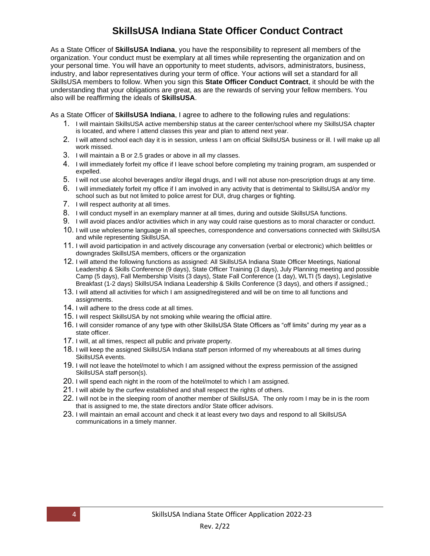### **SkillsUSA Indiana State Officer Conduct Contract**

As a State Officer of **SkillsUSA Indiana**, you have the responsibility to represent all members of the organization. Your conduct must be exemplary at all times while representing the organization and on your personal time. You will have an opportunity to meet students, advisors, administrators, business, industry, and labor representatives during your term of office. Your actions will set a standard for all SkillsUSA members to follow. When you sign this **State Officer Conduct Contract**, it should be with the understanding that your obligations are great, as are the rewards of serving your fellow members. You also will be reaffirming the ideals of **SkillsUSA**.

As a State Officer of **SkillsUSA Indiana**, I agree to adhere to the following rules and regulations:

- 1. I will maintain SkillsUSA active membership status at the career center/school where my SkillsUSA chapter is located, and where I attend classes this year and plan to attend next year.
- 2. I will attend school each day it is in session, unless I am on official SkillsUSA business or ill. I will make up all work missed.
- 3. I will maintain a B or 2.5 grades or above in all my classes.
- 4. I will immediately forfeit my office if I leave school before completing my training program, am suspended or expelled.
- 5. I will not use alcohol beverages and/or illegal drugs, and I will not abuse non-prescription drugs at any time.
- 6. I will immediately forfeit my office if I am involved in any activity that is detrimental to SkillsUSA and/or my school such as but not limited to police arrest for DUI, drug charges or fighting.
- 7. I will respect authority at all times.
- 8. I will conduct myself in an exemplary manner at all times, during and outside SkillsUSA functions.
- 9. I will avoid places and/or activities which in any way could raise questions as to moral character or conduct.
- 10. I will use wholesome language in all speeches, correspondence and conversations connected with SkillsUSA and while representing SkillsUSA.
- 11. I will avoid participation in and actively discourage any conversation (verbal or electronic) which belittles or downgrades SkillsUSA members, officers or the organization
- 12. I will attend the following functions as assigned: All SkillsUSA Indiana State Officer Meetings, National Leadership & Skills Conference (9 days), State Officer Training (3 days), July Planning meeting and possible Camp (5 days), Fall Membership Visits (3 days), State Fall Conference (1 day), WLTI (5 days), Legislative Breakfast (1-2 days) SkillsUSA Indiana Leadership & Skills Conference (3 days), and others if assigned.;
- 13. I will attend all activities for which I am assigned/registered and will be on time to all functions and assignments.
- 14. I will adhere to the dress code at all times.
- 15. I will respect SkillsUSA by not smoking while wearing the official attire.
- 16. I will consider romance of any type with other SkillsUSA State Officers as "off limits" during my year as a state officer.
- 17. I will, at all times, respect all public and private property.
- 18. I will keep the assigned SkillsUSA Indiana staff person informed of my whereabouts at all times during SkillsUSA events.
- 19. I will not leave the hotel/motel to which I am assigned without the express permission of the assigned SkillsUSA staff person(s).
- 20. I will spend each night in the room of the hotel/motel to which I am assigned.
- 21. I will abide by the curfew established and shall respect the rights of others.
- 22. I will not be in the sleeping room of another member of SkillsUSA. The only room I may be in is the room that is assigned to me, the state directors and/or State officer advisors.
- 23. I will maintain an email account and check it at least every two days and respond to all SkillsUSA communications in a timely manner.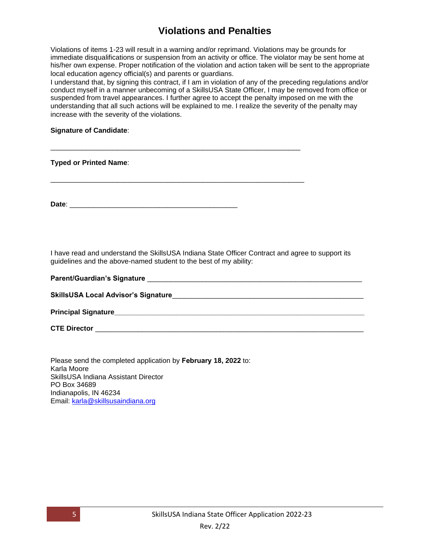## **Violations and Penalties**

Violations of items 1-23 will result in a warning and/or reprimand. Violations may be grounds for immediate disqualifications or suspension from an activity or office. The violator may be sent home at his/her own expense. Proper notification of the violation and action taken will be sent to the appropriate local education agency official(s) and parents or guardians.

I understand that, by signing this contract, if I am in violation of any of the preceding regulations and/or conduct myself in a manner unbecoming of a SkillsUSA State Officer, I may be removed from office or suspended from travel appearances. I further agree to accept the penalty imposed on me with the understanding that all such actions will be explained to me. I realize the severity of the penalty may increase with the severity of the violations.

#### **Signature of Candidate**:

**Typed or Printed Name**:

**Date**: \_\_\_\_\_\_\_\_\_\_\_\_\_\_\_\_\_\_\_\_\_\_\_\_\_\_\_\_\_\_\_\_\_\_\_\_\_\_\_\_\_\_\_

\_\_\_\_\_\_\_\_\_\_\_\_\_\_\_\_\_\_\_\_\_\_\_\_\_\_\_\_\_\_\_\_\_\_\_\_\_\_\_\_\_\_\_\_\_\_\_\_\_\_\_\_\_\_\_\_\_\_\_\_\_\_\_\_

\_\_\_\_\_\_\_\_\_\_\_\_\_\_\_\_\_\_\_\_\_\_\_\_\_\_\_\_\_\_\_\_\_\_\_\_\_\_\_\_\_\_\_\_\_\_\_\_\_\_\_\_\_\_\_\_\_\_\_\_\_\_\_\_\_

I have read and understand the SkillsUSA Indiana State Officer Contract and agree to support its guidelines and the above-named student to the best of my ability:

| <b>Parent/Guardian's Signature</b>          |
|---------------------------------------------|
| <b>SkillsUSA Local Advisor's Signature_</b> |
| <b>Principal Signature</b>                  |

**CTE Director** \_\_\_\_\_\_\_\_\_\_\_\_\_\_\_\_\_\_\_\_\_\_\_\_\_\_\_\_\_\_\_\_\_\_\_\_\_\_\_\_\_\_\_\_\_\_\_\_\_\_\_\_\_\_\_\_\_\_\_\_\_\_\_\_\_\_\_\_\_

Please send the completed application by **February 18, 2022** to: Karla Moore SkillsUSA Indiana Assistant Director PO Box 34689 Indianapolis, IN 46234 Email: [karla@skillsusaindiana.org](mailto:karla@skillsusaindiana.org)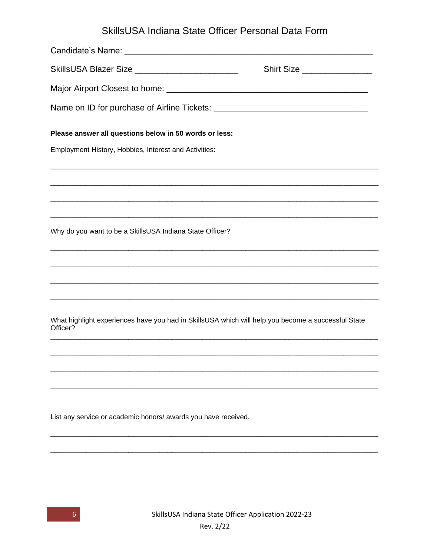# SkillsUSA Indiana State Officer Personal Data Form

| SkillsUSA Blazer Size ________________________                                                                 | Shirt Size |
|----------------------------------------------------------------------------------------------------------------|------------|
|                                                                                                                |            |
|                                                                                                                |            |
| Please answer all questions below in 50 words or less:                                                         |            |
| Employment History, Hobbies, Interest and Activities:                                                          |            |
|                                                                                                                |            |
|                                                                                                                |            |
| Why do you want to be a SkillsUSA Indiana State Officer?                                                       |            |
|                                                                                                                |            |
|                                                                                                                |            |
| What highlight experiences have you had in SkillsUSA which will help you become a successful State<br>Officer? |            |
|                                                                                                                |            |
|                                                                                                                |            |
|                                                                                                                |            |
| List any service or academic honors/ awards you have received.                                                 |            |
|                                                                                                                |            |
|                                                                                                                |            |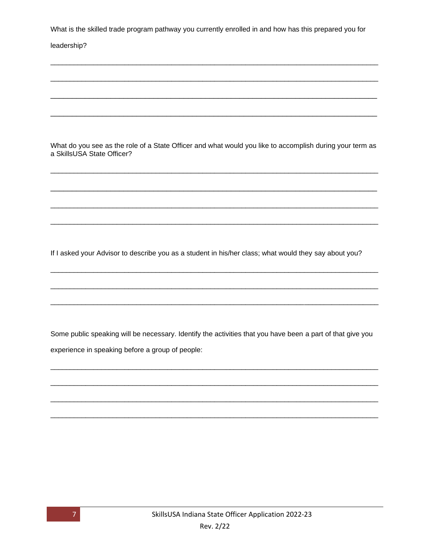What is the skilled trade program pathway you currently enrolled in and how has this prepared you for

#### leadership?

What do you see as the role of a State Officer and what would you like to accomplish during your term as a SkillsUSA State Officer?

If I asked your Advisor to describe you as a student in his/her class; what would they say about you?

Some public speaking will be necessary. Identify the activities that you have been a part of that give you experience in speaking before a group of people:

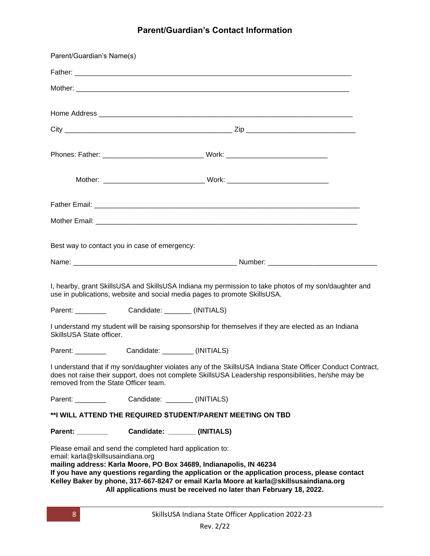### **Parent/Guardian's Contact Information**

| Parent/Guardian's Name(s)                     |                                                                                                                                                                                                                                                                                                                                                                                                  |
|-----------------------------------------------|--------------------------------------------------------------------------------------------------------------------------------------------------------------------------------------------------------------------------------------------------------------------------------------------------------------------------------------------------------------------------------------------------|
|                                               |                                                                                                                                                                                                                                                                                                                                                                                                  |
|                                               |                                                                                                                                                                                                                                                                                                                                                                                                  |
|                                               |                                                                                                                                                                                                                                                                                                                                                                                                  |
|                                               |                                                                                                                                                                                                                                                                                                                                                                                                  |
|                                               |                                                                                                                                                                                                                                                                                                                                                                                                  |
|                                               |                                                                                                                                                                                                                                                                                                                                                                                                  |
|                                               |                                                                                                                                                                                                                                                                                                                                                                                                  |
|                                               |                                                                                                                                                                                                                                                                                                                                                                                                  |
|                                               |                                                                                                                                                                                                                                                                                                                                                                                                  |
| Best way to contact you in case of emergency: |                                                                                                                                                                                                                                                                                                                                                                                                  |
|                                               |                                                                                                                                                                                                                                                                                                                                                                                                  |
|                                               | I, hearby, grant SkillsUSA and SkillsUSA Indiana my permission to take photos of my son/daughter and<br>use in publications, website and social media pages to promote SkillsUSA.                                                                                                                                                                                                                |
| Parent: __________                            | Candidate: _______ (INITIALS)                                                                                                                                                                                                                                                                                                                                                                    |
| SkillsUSA State officer.                      | I understand my student will be raising sponsorship for themselves if they are elected as an Indiana                                                                                                                                                                                                                                                                                             |
|                                               |                                                                                                                                                                                                                                                                                                                                                                                                  |
| removed from the State Officer team.          | I understand that if my son/daughter violates any of the SkillsUSA Indiana State Officer Conduct Contract,<br>does not raise their support, does not complete SkillsUSA Leadership responsibilities, he/she may be                                                                                                                                                                               |
|                                               |                                                                                                                                                                                                                                                                                                                                                                                                  |
|                                               | **I WILL ATTEND THE REQUIRED STUDENT/PARENT MEETING ON TBD                                                                                                                                                                                                                                                                                                                                       |
|                                               |                                                                                                                                                                                                                                                                                                                                                                                                  |
| email: karla@skillsusaindiana.org             | Please email and send the completed hard application to:<br>mailing address: Karla Moore, PO Box 34689, Indianapolis, IN 46234<br>If you have any questions regarding the application or the application process, please contact<br>Kelley Baker by phone, 317-667-8247 or email Karla Moore at karla@skillsusaindiana.org<br>All applications must be received no later than February 18, 2022. |